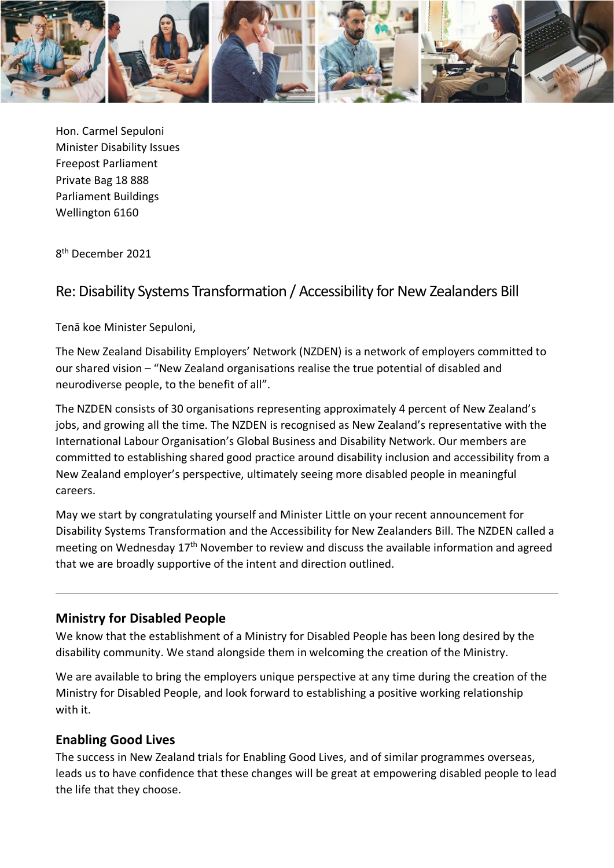

Hon. Carmel Sepuloni Minister Disability Issues Freepost Parliament Private Bag 18 888 Parliament Buildings Wellington 6160

8th December 2021

## Re: Disability Systems Transformation / Accessibility for New Zealanders Bill

Tenā koe Minister Sepuloni,

The New Zealand Disability Employers' Network (NZDEN) is a network of employers committed to our shared vision – "New Zealand organisations realise the true potential of disabled and neurodiverse people, to the benefit of all".

The NZDEN consists of 30 organisations representing approximately 4 percent of New Zealand's jobs, and growing all the time. The NZDEN is recognised as New Zealand's representative with the International Labour Organisation's Global Business and Disability Network. Our members are committed to establishing shared good practice around disability inclusion and accessibility from a New Zealand employer's perspective, ultimately seeing more disabled people in meaningful careers.

May we start by congratulating yourself and Minister Little on your recent announcement for Disability Systems Transformation and the Accessibility for New Zealanders Bill. The NZDEN called a meeting on Wednesday 17th November to review and discuss the available information and agreed that we are broadly supportive of the intent and direction outlined.

## **Ministry for Disabled People**

We know that the establishment of a Ministry for Disabled People has been long desired by the disability community. We stand alongside them in welcoming the creation of the Ministry.

We are available to bring the employers unique perspective at any time during the creation of the Ministry for Disabled People, and look forward to establishing a positive working relationship with it.

## **Enabling Good Lives**

The success in New Zealand trials for Enabling Good Lives, and of similar programmes overseas, leads us to have confidence that these changes will be great at empowering disabled people to lead the life that they choose.